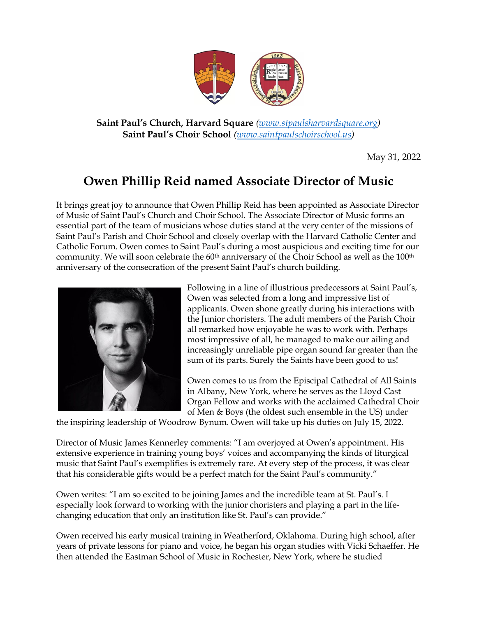

**Saint Paul's Church, Harvard Square** *(www.stpaulsharvardsquare.org)* **Saint Paul's Choir School** *(www.saintpaulschoirschool.us)*

May 31, 2022

## **Owen Phillip Reid named Associate Director of Music**

It brings great joy to announce that Owen Phillip Reid has been appointed as Associate Director of Music of Saint Paul's Church and Choir School. The Associate Director of Music forms an essential part of the team of musicians whose duties stand at the very center of the missions of Saint Paul's Parish and Choir School and closely overlap with the Harvard Catholic Center and Catholic Forum. Owen comes to Saint Paul's during a most auspicious and exciting time for our community. We will soon celebrate the 60<sup>th</sup> anniversary of the Choir School as well as the 100<sup>th</sup> anniversary of the consecration of the present Saint Paul's church building.



Following in a line of illustrious predecessors at Saint Paul's, Owen was selected from a long and impressive list of applicants. Owen shone greatly during his interactions with the Junior choristers. The adult members of the Parish Choir all remarked how enjoyable he was to work with. Perhaps most impressive of all, he managed to make our ailing and increasingly unreliable pipe organ sound far greater than the sum of its parts. Surely the Saints have been good to us!

Owen comes to us from the Episcipal Cathedral of All Saints in Albany, New York, where he serves as the Lloyd Cast Organ Fellow and works with the acclaimed Cathedral Choir of Men & Boys (the oldest such ensemble in the US) under

the inspiring leadership of Woodrow Bynum. Owen will take up his duties on July 15, 2022.

Director of Music James Kennerley comments: "I am overjoyed at Owen's appointment. His extensive experience in training young boys' voices and accompanying the kinds of liturgical music that Saint Paul's exemplifies is extremely rare. At every step of the process, it was clear that his considerable gifts would be a perfect match for the Saint Paul's community."

Owen writes: "I am so excited to be joining James and the incredible team at St. Paul's. I especially look forward to working with the junior choristers and playing a part in the lifechanging education that only an institution like St. Paul's can provide."

Owen received his early musical training in Weatherford, Oklahoma. During high school, after years of private lessons for piano and voice, he began his organ studies with Vicki Schaeffer. He then attended the Eastman School of Music in Rochester, New York, where he studied